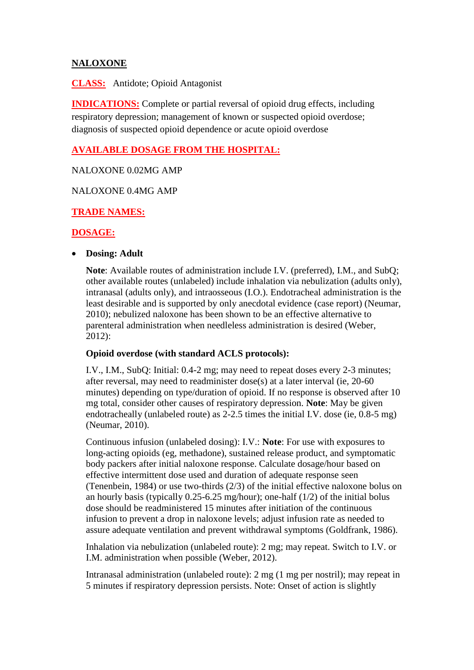# **NALOXONE**

**CLASS:** Antidote; Opioid Antagonist

**INDICATIONS:** Complete or partial reversal of opioid drug effects, including respiratory depression; management of known or suspected opioid overdose; diagnosis of suspected opioid dependence or acute opioid overdose

# **AVAILABLE DOSAGE FROM THE HOSPITAL:**

### NALOXONE 0.02MG AMP

#### NALOXONE 0.4MG AMP

# **TRADE NAMES:**

# **DOSAGE:**

#### **Dosing: Adult**

**Note**: Available routes of administration include I.V. (preferred), I.M., and SubQ; other available routes (unlabeled) include inhalation via nebulization (adults only), intranasal (adults only), and intraosseous (I.O.). Endotracheal administration is the least desirable and is supported by only anecdotal evidence (case report) (Neumar, 2010); nebulized naloxone has been shown to be an effective alternative to parenteral administration when needleless administration is desired (Weber, 2012):

### **Opioid overdose (with standard ACLS protocols):**

I.V., I.M., SubQ: Initial: 0.4-2 mg; may need to repeat doses every 2-3 minutes; after reversal, may need to readminister dose(s) at a later interval (ie, 20-60 minutes) depending on type/duration of opioid. If no response is observed after 10 mg total, consider other causes of respiratory depression. **Note**: May be given endotracheally (unlabeled route) as 2-2.5 times the initial I.V. dose (ie, 0.8-5 mg) (Neumar, 2010).

Continuous infusion (unlabeled dosing): I.V.: **Note**: For use with exposures to long-acting opioids (eg, methadone), sustained release product, and symptomatic body packers after initial naloxone response. Calculate dosage/hour based on effective intermittent dose used and duration of adequate response seen (Tenenbein, 1984) or use two-thirds (2/3) of the initial effective naloxone bolus on an hourly basis (typically 0.25-6.25 mg/hour); one-half (1/2) of the initial bolus dose should be readministered 15 minutes after initiation of the continuous infusion to prevent a drop in naloxone levels; adjust infusion rate as needed to assure adequate ventilation and prevent withdrawal symptoms (Goldfrank, 1986).

Inhalation via nebulization (unlabeled route): 2 mg; may repeat. Switch to I.V. or I.M. administration when possible (Weber, 2012).

Intranasal administration (unlabeled route): 2 mg (1 mg per nostril); may repeat in 5 minutes if respiratory depression persists. Note: Onset of action is slightly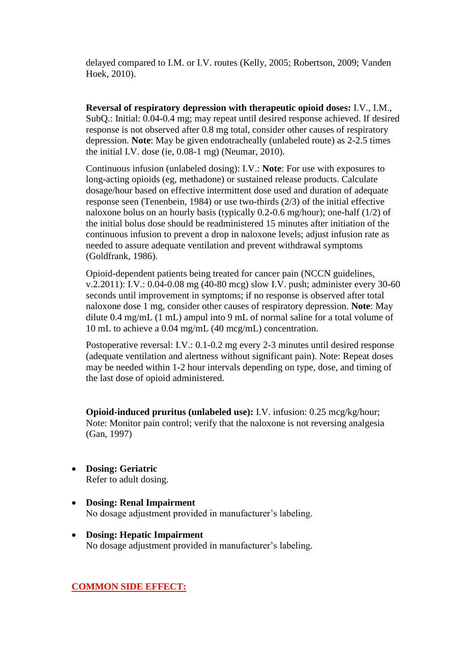delayed compared to I.M. or I.V. routes (Kelly, 2005; Robertson, 2009; Vanden Hoek, 2010).

**Reversal of respiratory depression with therapeutic opioid doses:** I.V., I.M., SubQ.: Initial: 0.04-0.4 mg; may repeat until desired response achieved. If desired response is not observed after 0.8 mg total, consider other causes of respiratory depression. **Note**: May be given endotracheally (unlabeled route) as 2-2.5 times the initial I.V. dose (ie, 0.08-1 mg) (Neumar, 2010).

Continuous infusion (unlabeled dosing): I.V.: **Note**: For use with exposures to long-acting opioids (eg, methadone) or sustained release products. Calculate dosage/hour based on effective intermittent dose used and duration of adequate response seen (Tenenbein, 1984) or use two-thirds (2/3) of the initial effective naloxone bolus on an hourly basis (typically 0.2-0.6 mg/hour); one-half (1/2) of the initial bolus dose should be readministered 15 minutes after initiation of the continuous infusion to prevent a drop in naloxone levels; adjust infusion rate as needed to assure adequate ventilation and prevent withdrawal symptoms (Goldfrank, 1986).

Opioid-dependent patients being treated for cancer pain (NCCN guidelines, v.2.2011): I.V.: 0.04-0.08 mg (40-80 mcg) slow I.V. push; administer every 30-60 seconds until improvement in symptoms; if no response is observed after total naloxone dose 1 mg, consider other causes of respiratory depression. **Note**: May dilute 0.4 mg/mL (1 mL) ampul into 9 mL of normal saline for a total volume of 10 mL to achieve a 0.04 mg/mL (40 mcg/mL) concentration.

Postoperative reversal: I.V.: 0.1-0.2 mg every 2-3 minutes until desired response (adequate ventilation and alertness without significant pain). Note: Repeat doses may be needed within 1-2 hour intervals depending on type, dose, and timing of the last dose of opioid administered.

**Opioid-induced pruritus (unlabeled use):** I.V. infusion: 0.25 mcg/kg/hour; Note: Monitor pain control; verify that the naloxone is not reversing analgesia (Gan, 1997)

- **Dosing: Geriatric** Refer to adult dosing.
- **Dosing: Renal Impairment** No dosage adjustment provided in manufacturer's labeling.
- **Dosing: Hepatic Impairment** No dosage adjustment provided in manufacturer's labeling.

#### **COMMON SIDE EFFECT:**